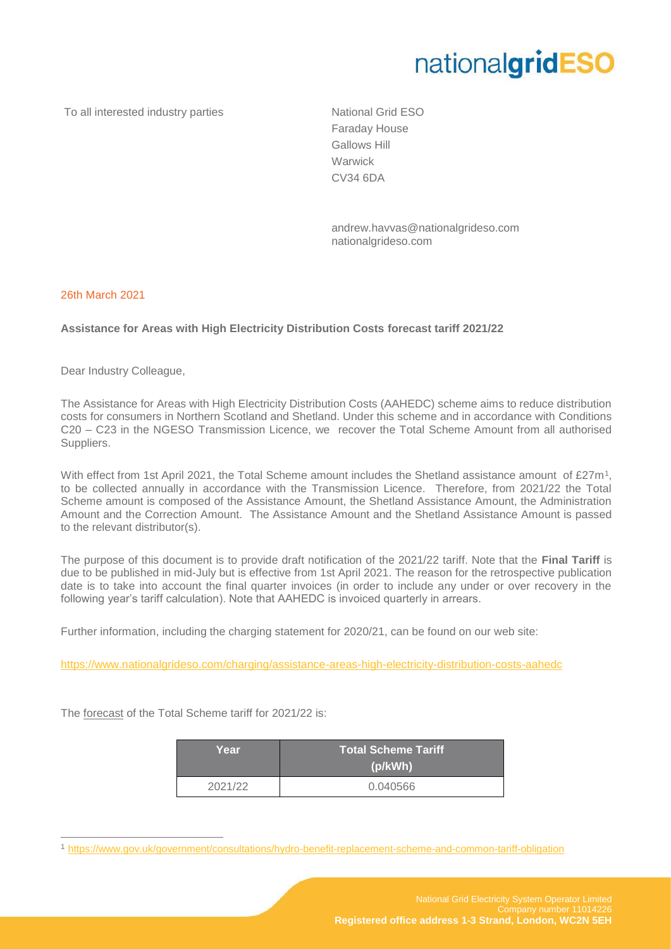## nationalgridESO

To all interested industry parties National Grid ESO

Faraday House Gallows Hill Warwick CV34 6DA

andrew.havvas@nationalgrideso.com nationalgrideso.com

## 26th March 2021

 $\overline{a}$ 

## **Assistance for Areas with High Electricity Distribution Costs forecast tariff 2021/22**

Dear Industry Colleague,

The Assistance for Areas with High Electricity Distribution Costs (AAHEDC) scheme aims to reduce distribution costs for consumers in Northern Scotland and Shetland. Under this scheme and in accordance with Conditions C20 – C23 in the NGESO Transmission Licence, we recover the Total Scheme Amount from all authorised Suppliers.

With effect from 1st April 2021, the Total Scheme amount includes the Shetland assistance amount of £27m<sup>1</sup>, to be collected annually in accordance with the Transmission Licence. Therefore, from 2021/22 the Total Scheme amount is composed of the Assistance Amount, the Shetland Assistance Amount, the Administration Amount and the Correction Amount. The Assistance Amount and the Shetland Assistance Amount is passed to the relevant distributor(s).

The purpose of this document is to provide draft notification of the 2021/22 tariff. Note that the **Final Tariff** is due to be published in mid-July but is effective from 1st April 2021. The reason for the retrospective publication date is to take into account the final quarter invoices (in order to include any under or over recovery in the following year's tariff calculation). Note that AAHEDC is invoiced quarterly in arrears.

Further information, including the charging statement for 2020/21, can be found on our web site:

<https://www.nationalgrideso.com/charging/assistance-areas-high-electricity-distribution-costs-aahedc>

The forecast of the Total Scheme tariff for 2021/22 is:

| Year    | <b>Total Scheme Tariff</b><br>(p/kWh) |
|---------|---------------------------------------|
| 2021/22 | 0.040566                              |

<sup>1</sup> <https://www.gov.uk/government/consultations/hydro-benefit-replacement-scheme-and-common-tariff-obligation>